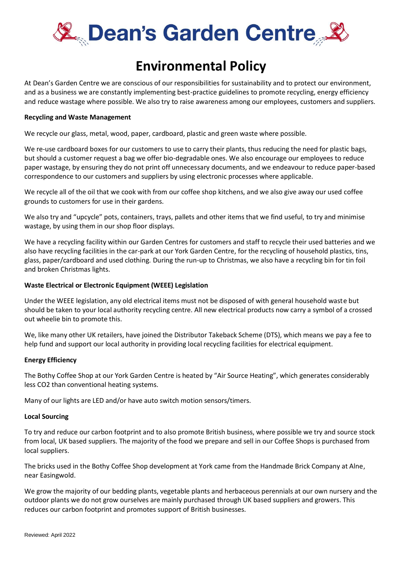

# **Environmental Policy**

At Dean's Garden Centre we are conscious of our responsibilities for sustainability and to protect our environment, and as a business we are constantly implementing best-practice guidelines to promote recycling, energy efficiency and reduce wastage where possible. We also try to raise awareness among our employees, customers and suppliers.

# **Recycling and Waste Management**

We recycle our glass, metal, wood, paper, cardboard, plastic and green waste where possible.

We re-use cardboard boxes for our customers to use to carry their plants, thus reducing the need for plastic bags, but should a customer request a bag we offer bio-degradable ones. We also encourage our employees to reduce paper wastage, by ensuring they do not print off unnecessary documents, and we endeavour to reduce paper-based correspondence to our customers and suppliers by using electronic processes where applicable.

We recycle all of the oil that we cook with from our coffee shop kitchens, and we also give away our used coffee grounds to customers for use in their gardens.

We also try and "upcycle" pots, containers, trays, pallets and other items that we find useful, to try and minimise wastage, by using them in our shop floor displays.

We have a recycling facility within our Garden Centres for customers and staff to recycle their used batteries and we also have recycling facilities in the car-park at our York Garden Centre, for the recycling of household plastics, tins, glass, paper/cardboard and used clothing. During the run-up to Christmas, we also have a recycling bin for tin foil and broken Christmas lights.

# **Waste Electrical or Electronic Equipment (WEEE) Legislation**

Under the WEEE legislation, any old electrical items must not be disposed of with general household waste but should be taken to your local authority recycling centre. All new electrical products now carry a symbol of a crossed out wheelie bin to promote this.

We, like many other UK retailers, have joined the Distributor Takeback Scheme (DTS), which means we pay a fee to help fund and support our local authority in providing local recycling facilities for electrical equipment.

#### **Energy Efficiency**

The Bothy Coffee Shop at our York Garden Centre is heated by "Air Source Heating", which generates considerably less CO2 than conventional heating systems.

Many of our lights are LED and/or have auto switch motion sensors/timers.

#### **Local Sourcing**

To try and reduce our carbon footprint and to also promote British business, where possible we try and source stock from local, UK based suppliers. The majority of the food we prepare and sell in our Coffee Shops is purchased from local suppliers.

The bricks used in the Bothy Coffee Shop development at York came from the Handmade Brick Company at Alne, near Easingwold.

We grow the majority of our bedding plants, vegetable plants and herbaceous perennials at our own nursery and the outdoor plants we do not grow ourselves are mainly purchased through UK based suppliers and growers. This reduces our carbon footprint and promotes support of British businesses.